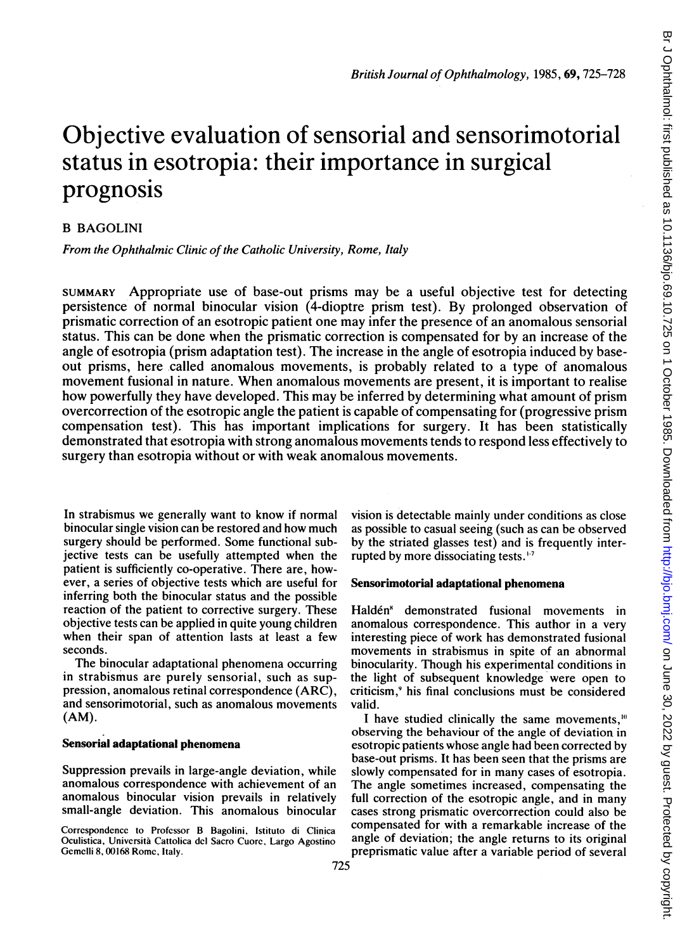# Objective evaluation of sensorial and sensorimotorial status in esotropia: their importance in surgical prognosis

# B BAGOLINI

From the Ophthalmic Clinic of the Catholic University, Rome, Italy

SUMMARY Appropriate use of base-out prisms may be a useful objective test for detecting persistence of normal binocular vision (4-dioptre prism test). By prolonged observation of prismatic correction of an esotropic patient one may infer the presence of an anomalous sensorial status. This can be done when the prismatic correction is compensated for by an increase of the angle of esotropia (prism adaptation test). The increase in the angle of esotropia induced by baseout prisms, here called anomalous movements, is probably related to a type of anomalous movement fusional in nature. When anomalous movements are present, it is important to realise how powerfully they have developed. This may be inferred by determining what amount of prism overcorrection of the esotropic angle the patient is capable of compensating for (progressive prism compensation test). This has important implications for surgery. It has been statistically demonstrated that esotropia with strong anomalous movements tends to respond less effectively to surgery than esotropia without or with weak anomalous movements.

In strabismus we generally want to know if normal binocular single vision can be restored and how much surgery should be performed. Some functional subjective tests can be usefully attempted when the patient is sufficiently co-operative. There are, however, a series of objective tests which are useful for inferring both the binocular status and the possible reaction of the patient to corrective surgery. These objective tests can be applied in quite young children when their span of attention lasts at least a few seconds.

The binocular adaptational phenomena occurring in strabismus are purely sensorial, such as suppression, anomalous retinal correspondence (ARC), and sensorimotorial, such as anomalous movements (AM).

# Sensorial adaptational phenomena

Suppression prevails in large-angle deviation, while anomalous correspondence with achievement of an anomalous binocular vision prevails in relatively small-angle deviation. This anomalous binocular

Corrcspondence to Profcssor B Bagolini, Istituto di Clinica Oculistica, Università Cattolica del Sacro Cuore, Largo Agostino Gcmclli 8, 00168 Romc, Italy.

vision is detectable mainly under conditions as close as possible to casual seeing (such as can be observed by the striated glasses test) and is frequently interrupted by more dissociating tests.<sup>1-7</sup>

## Sensorimotorial adaptational phenomena

Haldén<sup>®</sup> demonstrated fusional movements in anomalous correspondence. This author in a very interesting piece of work has demonstrated fusional movements in strabismus in spite of an abnormal binocularity. Though his experimental conditions in the light of subsequent knowledge were open to criticism,<sup>9</sup> his final conclusions must be considered valid.

<sup>I</sup> have studied clinically the same movements,"' observing the behaviour of the angle of deviation in esotropic patients whose angle had been corrected by base-out prisms. It has been seen that the prisms are slowly compensated for in many cases of esotropia. The angle sometimes increased, compensating the full correction of the esotropic angle, and in many cases strong prismatic overcorrection could also be compensated for with a remarkable increase of the angle of deviation; the angle returns to its original preprismatic value after a variable period of several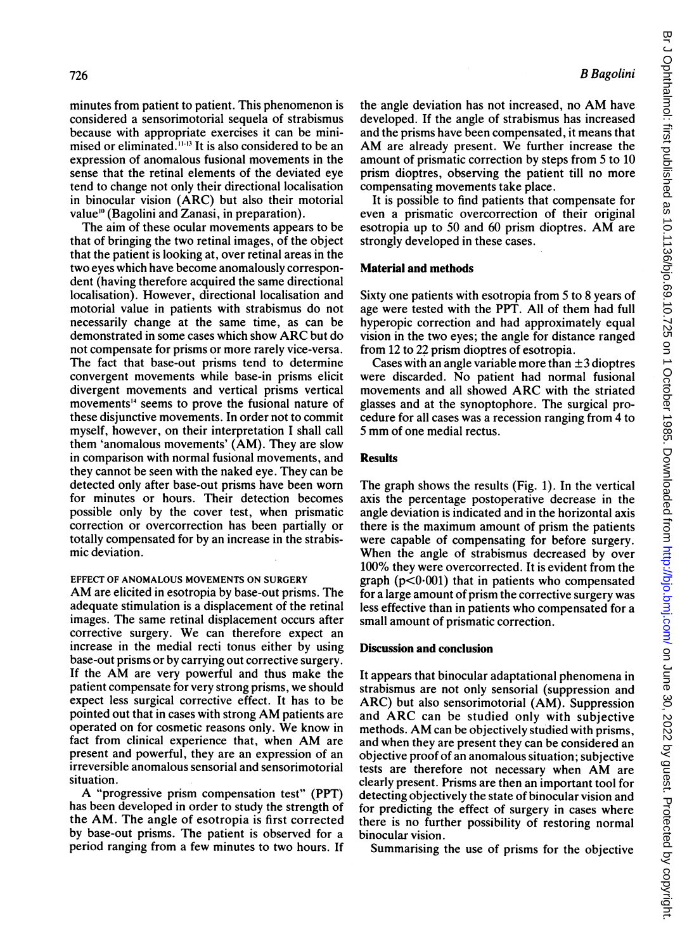minutes from patient to patient. This phenomenon is considered a sensorimotorial sequela of strabismus because with appropriate exercises it can be minimised or eliminated.<sup> $11-13$ </sup> It is also considered to be an expression of anomalous fusional movements in the sense that the retinal elements of the deviated eye tend to change not only their directional localisation in binocular vision (ARC) but also their motorial value"' (Bagolini and Zanasi, in preparation).

The aim of these ocular movements appears to be that of bringing the two retinal images, of the object that the patient is looking at, over retinal areas in the two eyes which have become anomalously correspondent (having therefore acquired the same directional localisation). However, directional localisation and motorial value in patients with strabismus do not necessarily change at the same time, as can be demonstrated in some cases which show ARC but do not compensate for prisms or more rarely vice-versa. The fact that base-out prisms tend to determine convergent movements while base-in prisms elicit divergent movements and vertical prisms vertical movements'4 seems to prove the fusional nature of these disjunctive movements. In order not to commit myself, however, on their interpretation <sup>I</sup> shall call them 'anomalous movements' (AM). They are slow in comparison with normal fusional movements, and they cannot be seen with the naked eye. They can be detected only after base-out prisms have been worn for minutes or hours. Their detection becomes possible only by the cover test, when prismatic correction or overcorrection has been partially or totally compensated for by an increase in the strabismic deviation.

#### EFFECT OF ANOMALOUS MOVEMENTS ON SURGERY

AM are elicited in esotropia by base-out prisms. The adequate stimulation is a displacement of the retinal images. The same retinal displacement occurs after corrective surgery. We can therefore expect an increase in the medial recti tonus either by using base-out prisms or by carrying out corrective surgery. If the AM are very powerful and thus make the patient compensate for very strong prisms, we should expect less surgical corrective effect. It has to be pointed out that in cases with strong AM patients are operated on for cosmetic reasons only. We know in fact from clinical experience that, when AM are present and powerful, they are an expression of an irreversible anomalous sensorial and sensorimotorial situation.

A "progressive prism compensation test" (PPT) has been developed in order to study the strength of the AM. The angle of esotropia is first corrected by base-out prisms. The patient is observed for a period ranging from a few minutes to two hours. If the angle deviation has not increased, no AM have developed. If the angle of strabismus has increased and the prisms have been compensated, it means that AM are already present. We further increase the amount of prismatic correction by steps from 5 to 10 prism dioptres, observing the patient till no more compensating movements take place.

It is possible to find patients that compensate for even a prismatic overcorrection of their original esotropia up to <sup>50</sup> and <sup>60</sup> prism dioptres. AM are strongly developed in these cases.

## Material and methods

Sixty one patients with esotropia from 5 to 8 years of age were tested with the PPT. All of them had full hyperopic correction and had approximately equal vision in the two eyes; the angle for distance ranged from 12 to 22 prism dioptres of esotropia.

Cases with an angle variable more than  $\pm 3$  dioptres were discarded. No patient had normal fusional movements and all showed ARC with the striated glasses and at the synoptophore. The surgical procedure for all cases was a recession ranging from 4 to <sup>5</sup> mm of one medial rectus.

## Results

The graph shows the results (Fig. 1). In the vertical axis the percentage postoperative decrease in the angle deviation is indicated and in the horizontal axis there is the maximum amount of prism the patients were capable of compensating for before surgery. When the angle of strabismus decreased by over 100% they were overcorrected. It is evident from the graph ( $p < 0.001$ ) that in patients who compensated for a large amount of prism the corrective surgery was less effective than in patients who compensated for a small amount of prismatic correction.

## Discussion and conclusion

It appears that binocular adaptational phenomena in strabismus are not only sensorial (suppression and ARC) but also sensorimotorial (AM). Suppression and ARC can be studied only with subjective methods. AM can be objectively studied with prisms, and when they are present they can be considered an objective proof of an anomalous situation; subjective tests are therefore not necessary when AM are clearly present. Prisms are then an important tool for detecting objectively the state of binocular vision and for predicting the effect of surgery in cases where there is no further possibility of restoring normal binocular vision.

Summarising the use of prisms for the objective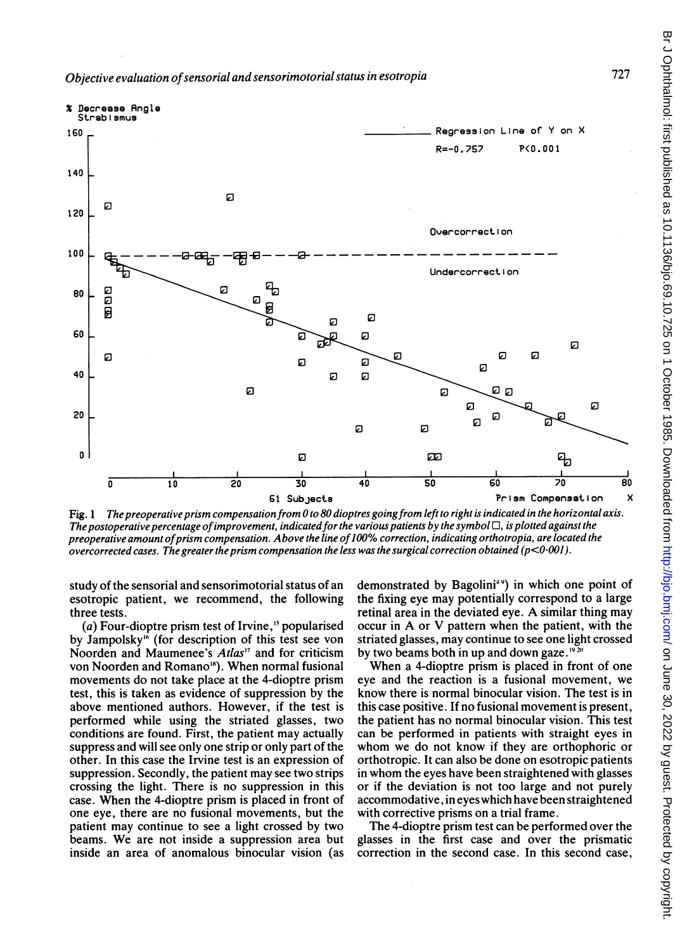

Fig. 1 The preoperative prism compensation from 0 to 80 dioptres going from left to right is indicated in the horizontal axis. The postoperative percentage of improvement, indicated for the various patients by the symbol  $\Box$ , is plotted against the preoperative amount ofprism compensation. Above the line of100% correction, indicating orthotropia, are located the overcorrected cases. The greater the prism compensation the less was the surgical correction obtained ( $p$ <0.001).

study of the sensorial and sensorimotorial status of an esotropic patient, we recommend, the following three tests.

(a) Four-dioptre prism test of Irvine,'5 popularised by Jampolsky'6 (for description of this test see von Noorden and Maumenee's Atlas<sup>17</sup> and for criticism von Noorden and Romano<sup>18</sup>). When normal fusional movements do not take place at the 4-dioptre prism test, this is taken as evidence of suppression by the above mentioned authors. However, if the test is performed while using the striated glasses, two conditions are found. First, the patient may actually suppress and will see only one strip or only part of the other. In this case the Irvine test is an expression of suppression. Secondly, the patient may see two strips crossing the light. There is no suppression in this case. When the 4-dioptre prism is placed in front of one eye, there are no fusional movements, but the patient may continue to see a light crossed by two beams. We are not inside <sup>a</sup> suppression area but inside an area of anomalous binocular vision (as demonstrated by Bagolini<sup>49</sup>) in which one point of the fixing eye may potentially correspond to a large retinal area in the deviated eye. A similar thing may occur in A or V pattern when the patient, with the striated glasses, may continue to see one light crossed by two beams both in up and down gaze. $1920$ 

When a 4-dioptre prism is placed in front of one eye and the reaction is a fusional movement, we know there is normal binocular vision. The test is in this case positive. If no fusional movement is present, the patient has no normal binocular vision. This test can be performed in patients with straight eyes in whom we do not know if they are orthophoric or orthotropic. It can also be done on esotropic patients in whom the eyes have been straightened with glasses or if the deviation is not too large and not purely accommodative, in eyes which have been straightened with corrective prisms on a trial frame.

The 4-dioptre prism test can be performed over the glasses in the first case and over the prismatic correction in the second case. In this second case,

727